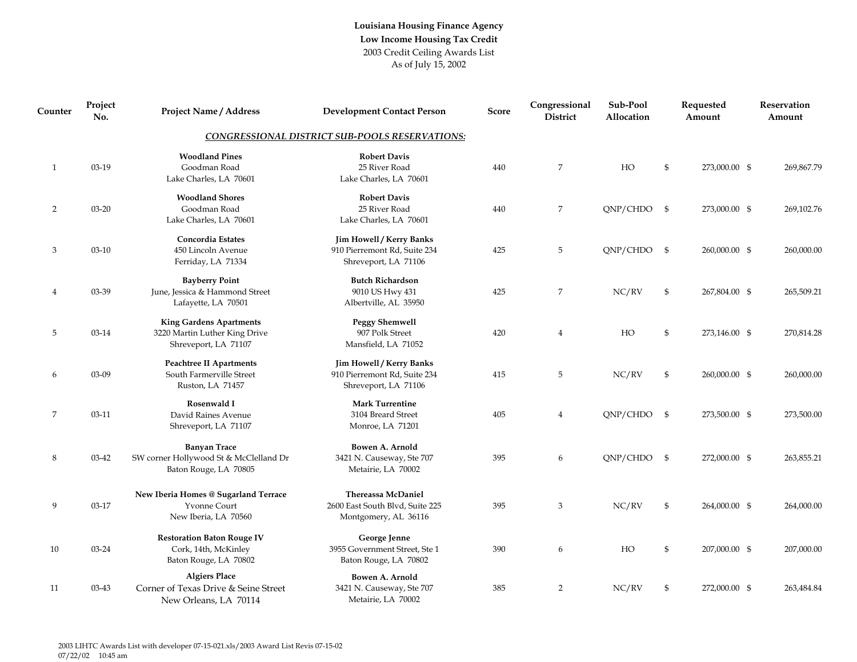## **Louisiana Housing Finance Agency Low Income Housing Tax Credit** 2003 Credit Ceiling Awards List As of July 15, 2002

| Counter        | Project<br>No. | <b>Project Name / Address</b>                                                           | <b>Development Contact Person</b>                                                       | <b>Score</b> | Congressional<br>District | Sub-Pool<br>Allocation | Requested<br>Amount | Reservation<br>Amount |
|----------------|----------------|-----------------------------------------------------------------------------------------|-----------------------------------------------------------------------------------------|--------------|---------------------------|------------------------|---------------------|-----------------------|
|                |                |                                                                                         | <b>CONGRESSIONAL DISTRICT SUB-POOLS RESERVATIONS:</b>                                   |              |                           |                        |                     |                       |
| $\mathbf{1}$   | 03-19          | <b>Woodland Pines</b><br>Goodman Road<br>Lake Charles, LA 70601                         | <b>Robert Davis</b><br>25 River Road<br>Lake Charles, LA 70601                          | 440          | 7                         | HO                     | \$<br>273,000.00 \$ | 269,867.79            |
| $\overline{2}$ | $03 - 20$      | <b>Woodland Shores</b><br>Goodman Road<br>Lake Charles, LA 70601                        | <b>Robert Davis</b><br>25 River Road<br>Lake Charles, LA 70601                          | 440          | 7                         | QNP/CHDO \$            | 273,000.00 \$       | 269,102.76            |
| 3              | $03-10$        | Concordia Estates<br>450 Lincoln Avenue<br>Ferriday, LA 71334                           | <b>Jim Howell / Kerry Banks</b><br>910 Pierremont Rd, Suite 234<br>Shreveport, LA 71106 | 425          | 5                         | QNP/CHDO \$            | 260,000.00 \$       | 260,000.00            |
| $\overline{4}$ | 03-39          | <b>Bayberry Point</b><br>June, Jessica & Hammond Street<br>Lafayette, LA 70501          | <b>Butch Richardson</b><br>9010 US Hwy 431<br>Albertville, AL 35950                     | 425          | 7                         | NC/RV                  | \$<br>267,804.00 \$ | 265,509.21            |
| 5              | 03-14          | <b>King Gardens Apartments</b><br>3220 Martin Luther King Drive<br>Shreveport, LA 71107 | <b>Peggy Shemwell</b><br>907 Polk Street<br>Mansfield, LA 71052                         | 420          | $\overline{4}$            | HO                     | \$<br>273,146.00 \$ | 270,814.28            |
| 6              | 03-09          | <b>Peachtree II Apartments</b><br>South Farmerville Street<br>Ruston, LA 71457          | Jim Howell / Kerry Banks<br>910 Pierremont Rd, Suite 234<br>Shreveport, LA 71106        | 415          | 5                         | NC/RV                  | \$<br>260,000.00 \$ | 260,000.00            |
| 7              | $03-11$        | Rosenwald I<br>David Raines Avenue<br>Shreveport, LA 71107                              | <b>Mark Turrentine</b><br>3104 Breard Street<br>Monroe, LA 71201                        | 405          | $\overline{4}$            | QNP/CHDO \$            | 273,500.00 \$       | 273,500.00            |
| 8              | 03-42          | <b>Banyan Trace</b><br>SW corner Hollywood St & McClelland Dr<br>Baton Rouge, LA 70805  | Bowen A. Arnold<br>3421 N. Causeway, Ste 707<br>Metairie, LA 70002                      | 395          | 6                         | QNP/CHDO \$            | 272,000.00 \$       | 263,855.21            |
| 9              | 03-17          | New Iberia Homes @ Sugarland Terrace<br>Yvonne Court<br>New Iberia, LA 70560            | <b>Thereassa McDaniel</b><br>2600 East South Blvd, Suite 225<br>Montgomery, AL 36116    | 395          | 3                         | NC/RV                  | \$<br>264,000.00 \$ | 264,000.00            |
| 10             | 03-24          | <b>Restoration Baton Rouge IV</b><br>Cork, 14th, McKinley<br>Baton Rouge, LA 70802      | George Jenne<br>3955 Government Street, Ste 1<br>Baton Rouge, LA 70802                  | 390          | 6                         | HO                     | \$<br>207,000.00 \$ | 207,000.00            |
| 11             | 03-43          | <b>Algiers Place</b><br>Corner of Texas Drive & Seine Street<br>New Orleans, LA 70114   | Bowen A. Arnold<br>3421 N. Causeway, Ste 707<br>Metairie, LA 70002                      | 385          | $\overline{2}$            | NC/RV                  | \$<br>272,000.00 \$ | 263,484.84            |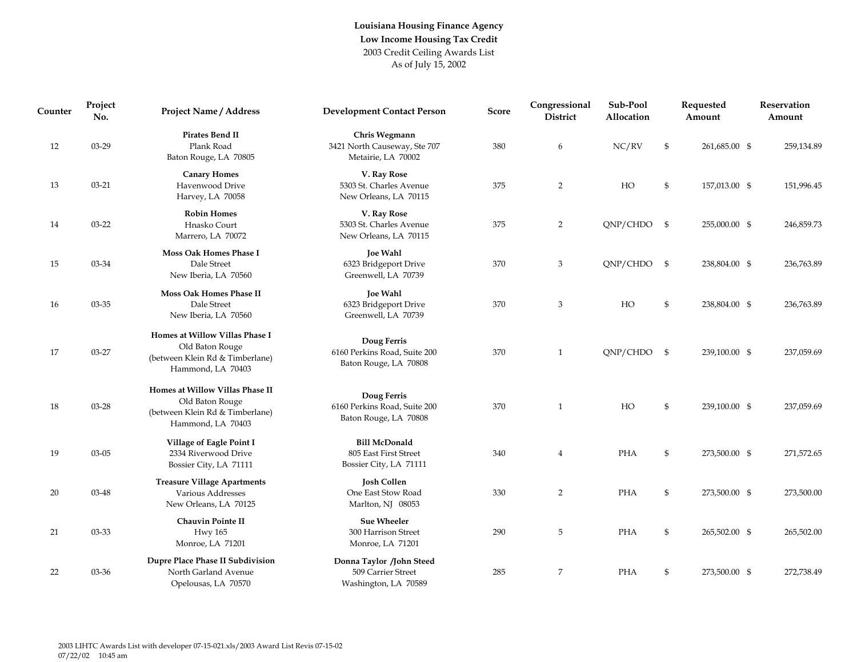## **Louisiana Housing Finance Agency Low Income Housing Tax Credit** 2003 Credit Ceiling Awards List As of July 15, 2002

| Counter | Project<br>No. | <b>Project Name / Address</b>                                                                              | <b>Development Contact Person</b>                                       | <b>Score</b> | Congressional<br>District | Sub-Pool<br>Allocation |                | Requested<br>Amount | Reservation<br>Amount |
|---------|----------------|------------------------------------------------------------------------------------------------------------|-------------------------------------------------------------------------|--------------|---------------------------|------------------------|----------------|---------------------|-----------------------|
| 12      | 03-29          | Pirates Bend II<br>Plank Road<br>Baton Rouge, LA 70805                                                     | Chris Wegmann<br>3421 North Causeway, Ste 707<br>Metairie, LA 70002     | 380          | 6                         | NC/RV                  | \$             | 261,685.00 \$       | 259,134.89            |
| 13      | $03 - 21$      | <b>Canary Homes</b><br>Havenwood Drive<br>Harvey, LA 70058                                                 | V. Ray Rose<br>5303 St. Charles Avenue<br>New Orleans, LA 70115         | 375          | $\overline{2}$            | HO                     | \$             | 157,013.00 \$       | 151,996.45            |
| 14      | $03 - 22$      | <b>Robin Homes</b><br>Hnasko Court<br>Marrero, LA 70072                                                    | V. Ray Rose<br>5303 St. Charles Avenue<br>New Orleans, LA 70115         | 375          | $\overline{2}$            | $QNP/CHDO$ \$          |                | 255,000.00 \$       | 246,859.73            |
| 15      | 03-34          | Moss Oak Homes Phase I<br>Dale Street<br>New Iberia, LA 70560                                              | <b>Joe Wahl</b><br>6323 Bridgeport Drive<br>Greenwell, LA 70739         | 370          | 3                         | $QNP/CHDO$ \$          |                | 238,804.00 \$       | 236,763.89            |
| 16      | 03-35          | Moss Oak Homes Phase II<br>Dale Street<br>New Iberia, LA 70560                                             | <b>Joe Wahl</b><br>6323 Bridgeport Drive<br>Greenwell, LA 70739         | 370          | 3                         | HO                     | $\mathfrak{S}$ | 238,804.00 \$       | 236,763.89            |
| 17      | 03-27          | Homes at Willow Villas Phase I<br>Old Baton Rouge<br>(between Klein Rd & Timberlane)<br>Hammond, LA 70403  | Doug Ferris<br>6160 Perkins Road, Suite 200<br>Baton Rouge, LA 70808    | 370          | $\mathbf{1}$              | ONP/CHDO \$            |                | 239,100.00 \$       | 237,059.69            |
| 18      | 03-28          | Homes at Willow Villas Phase II<br>Old Baton Rouge<br>(between Klein Rd & Timberlane)<br>Hammond, LA 70403 | Doug Ferris<br>6160 Perkins Road, Suite 200<br>Baton Rouge, LA 70808    | 370          | $\mathbf{1}$              | HO                     | \$             | 239,100.00 \$       | 237,059.69            |
| 19      | $03 - 05$      | Village of Eagle Point I<br>2334 Riverwood Drive<br>Bossier City, LA 71111                                 | <b>Bill McDonald</b><br>805 East First Street<br>Bossier City, LA 71111 | 340          | $\overline{4}$            | PHA                    | $\mathfrak{S}$ | 273,500.00 \$       | 271,572.65            |
| 20      | 03-48          | <b>Treasure Village Apartments</b><br>Various Addresses<br>New Orleans, LA 70125                           | <b>Josh Collen</b><br>One East Stow Road<br>Marlton, NJ 08053           | 330          | 2                         | PHA                    | $\mathfrak{S}$ | 273,500.00 \$       | 273,500.00            |
| 21      | 03-33          | <b>Chauvin Pointe II</b><br><b>Hwy 165</b><br>Monroe, LA 71201                                             | <b>Sue Wheeler</b><br>300 Harrison Street<br>Monroe, LA 71201           | 290          | 5                         | PHA                    | $\mathfrak{S}$ | 265,502.00 \$       | 265,502.00            |
| 22      | 03-36          | Dupre Place Phase II Subdivision<br>North Garland Avenue<br>Opelousas, LA 70570                            | Donna Taylor /John Steed<br>509 Carrier Street<br>Washington, LA 70589  | 285          | 7                         | PHA                    | \$             | 273,500.00 \$       | 272,738.49            |